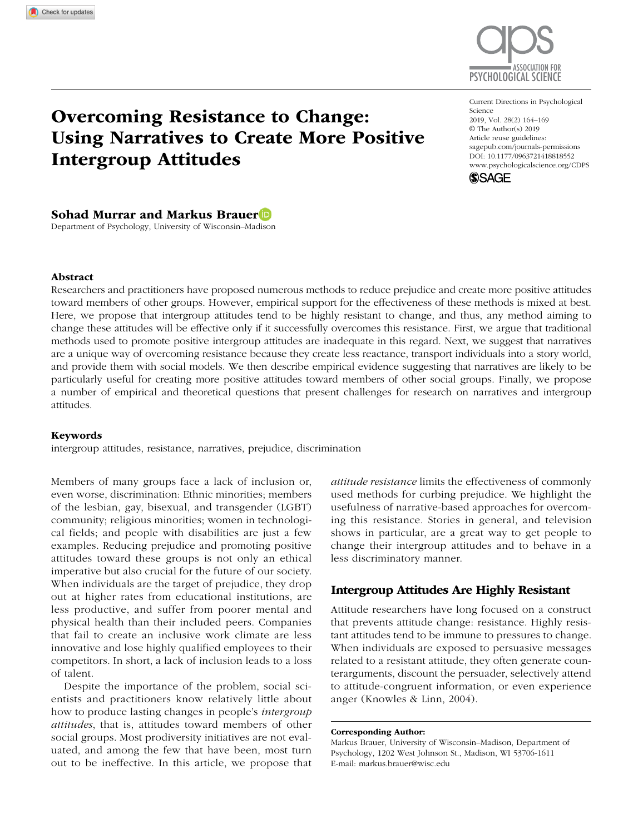

# Overcoming Resistance to Change: Using Narratives to Create More Positive Intergroup Attitudes

https://doi.org/10.1177/0963721418818552 DOI: 10.1177/0963721418818552 Current Directions in Psychological Science 2019, Vol. 28(2) 164–169 © The Author(s) 2019 Article reuse guidelines: [sagepub.com/journals-permissions](https://sagepub.com/journals-permissions) [www.psychologicalscience.org/CDPS](http://www.psychologicalscience.org/cdps)



Sohad Murrar and Markus Brauer

Department of Psychology, University of Wisconsin–Madison

# Abstract

Researchers and practitioners have proposed numerous methods to reduce prejudice and create more positive attitudes toward members of other groups. However, empirical support for the effectiveness of these methods is mixed at best. Here, we propose that intergroup attitudes tend to be highly resistant to change, and thus, any method aiming to change these attitudes will be effective only if it successfully overcomes this resistance. First, we argue that traditional methods used to promote positive intergroup attitudes are inadequate in this regard. Next, we suggest that narratives are a unique way of overcoming resistance because they create less reactance, transport individuals into a story world, and provide them with social models. We then describe empirical evidence suggesting that narratives are likely to be particularly useful for creating more positive attitudes toward members of other social groups. Finally, we propose a number of empirical and theoretical questions that present challenges for research on narratives and intergroup attitudes.

### Keywords

intergroup attitudes, resistance, narratives, prejudice, discrimination

Members of many groups face a lack of inclusion or, even worse, discrimination: Ethnic minorities; members of the lesbian, gay, bisexual, and transgender (LGBT) community; religious minorities; women in technological fields; and people with disabilities are just a few examples. Reducing prejudice and promoting positive attitudes toward these groups is not only an ethical imperative but also crucial for the future of our society. When individuals are the target of prejudice, they drop out at higher rates from educational institutions, are less productive, and suffer from poorer mental and physical health than their included peers. Companies that fail to create an inclusive work climate are less innovative and lose highly qualified employees to their competitors. In short, a lack of inclusion leads to a loss of talent.

Despite the importance of the problem, social scientists and practitioners know relatively little about how to produce lasting changes in people's *intergroup attitudes*, that is, attitudes toward members of other social groups. Most prodiversity initiatives are not evaluated, and among the few that have been, most turn out to be ineffective. In this article, we propose that *attitude resistance* limits the effectiveness of commonly used methods for curbing prejudice. We highlight the usefulness of narrative-based approaches for overcoming this resistance. Stories in general, and television shows in particular, are a great way to get people to change their intergroup attitudes and to behave in a less discriminatory manner.

# Intergroup Attitudes Are Highly Resistant

Attitude researchers have long focused on a construct that prevents attitude change: resistance. Highly resistant attitudes tend to be immune to pressures to change. When individuals are exposed to persuasive messages related to a resistant attitude, they often generate counterarguments, discount the persuader, selectively attend to attitude-congruent information, or even experience anger (Knowles & Linn, 2004).

Corresponding Author:

Markus Brauer, University of Wisconsin–Madison, Department of Psychology, 1202 West Johnson St., Madison, WI 53706-1611 E-mail: markus.brauer@wisc.edu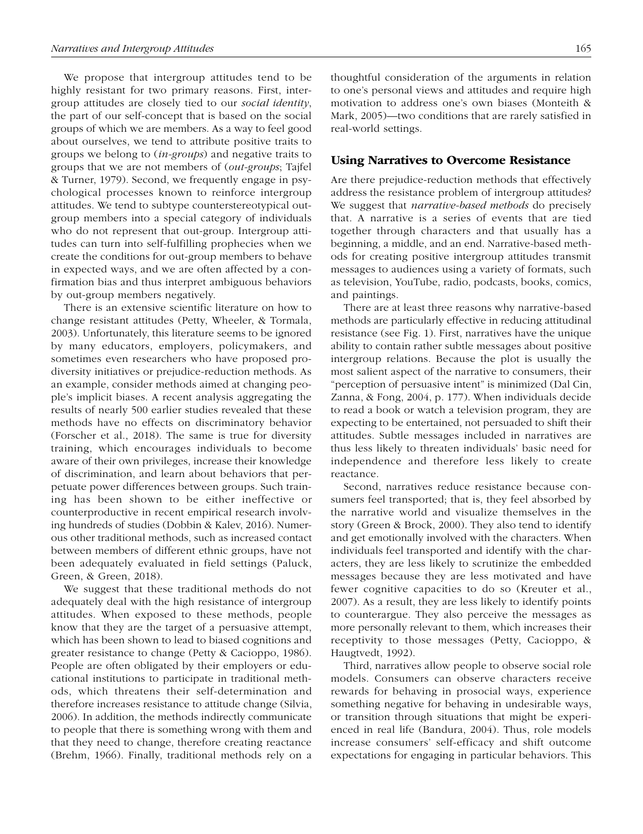We propose that intergroup attitudes tend to be highly resistant for two primary reasons. First, intergroup attitudes are closely tied to our *social identity*, the part of our self-concept that is based on the social groups of which we are members. As a way to feel good about ourselves, we tend to attribute positive traits to groups we belong to (*in-groups*) and negative traits to groups that we are not members of (*out-groups*; Tajfel & Turner, 1979). Second, we frequently engage in psychological processes known to reinforce intergroup attitudes. We tend to subtype counterstereotypical outgroup members into a special category of individuals who do not represent that out-group. Intergroup attitudes can turn into self-fulfilling prophecies when we create the conditions for out-group members to behave in expected ways, and we are often affected by a confirmation bias and thus interpret ambiguous behaviors by out-group members negatively.

There is an extensive scientific literature on how to change resistant attitudes (Petty, Wheeler, & Tormala, 2003). Unfortunately, this literature seems to be ignored by many educators, employers, policymakers, and sometimes even researchers who have proposed prodiversity initiatives or prejudice-reduction methods. As an example, consider methods aimed at changing people's implicit biases. A recent analysis aggregating the results of nearly 500 earlier studies revealed that these methods have no effects on discriminatory behavior (Forscher et al., 2018). The same is true for diversity training, which encourages individuals to become aware of their own privileges, increase their knowledge of discrimination, and learn about behaviors that perpetuate power differences between groups. Such training has been shown to be either ineffective or counterproductive in recent empirical research involving hundreds of studies (Dobbin & Kalev, 2016). Numerous other traditional methods, such as increased contact between members of different ethnic groups, have not been adequately evaluated in field settings (Paluck, Green, & Green, 2018).

We suggest that these traditional methods do not adequately deal with the high resistance of intergroup attitudes. When exposed to these methods, people know that they are the target of a persuasive attempt, which has been shown to lead to biased cognitions and greater resistance to change (Petty & Cacioppo, 1986). People are often obligated by their employers or educational institutions to participate in traditional methods, which threatens their self-determination and therefore increases resistance to attitude change (Silvia, 2006). In addition, the methods indirectly communicate to people that there is something wrong with them and that they need to change, therefore creating reactance (Brehm, 1966). Finally, traditional methods rely on a thoughtful consideration of the arguments in relation to one's personal views and attitudes and require high motivation to address one's own biases (Monteith & Mark, 2005)—two conditions that are rarely satisfied in real-world settings.

## Using Narratives to Overcome Resistance

Are there prejudice-reduction methods that effectively address the resistance problem of intergroup attitudes? We suggest that *narrative-based methods* do precisely that. A narrative is a series of events that are tied together through characters and that usually has a beginning, a middle, and an end. Narrative-based methods for creating positive intergroup attitudes transmit messages to audiences using a variety of formats, such as television, YouTube, radio, podcasts, books, comics, and paintings.

There are at least three reasons why narrative-based methods are particularly effective in reducing attitudinal resistance (see Fig. 1). First, narratives have the unique ability to contain rather subtle messages about positive intergroup relations. Because the plot is usually the most salient aspect of the narrative to consumers, their "perception of persuasive intent" is minimized (Dal Cin, Zanna, & Fong, 2004, p. 177). When individuals decide to read a book or watch a television program, they are expecting to be entertained, not persuaded to shift their attitudes. Subtle messages included in narratives are thus less likely to threaten individuals' basic need for independence and therefore less likely to create reactance.

Second, narratives reduce resistance because consumers feel transported; that is, they feel absorbed by the narrative world and visualize themselves in the story (Green & Brock, 2000). They also tend to identify and get emotionally involved with the characters. When individuals feel transported and identify with the characters, they are less likely to scrutinize the embedded messages because they are less motivated and have fewer cognitive capacities to do so (Kreuter et al., 2007). As a result, they are less likely to identify points to counterargue. They also perceive the messages as more personally relevant to them, which increases their receptivity to those messages (Petty, Cacioppo, & Haugtvedt, 1992).

Third, narratives allow people to observe social role models. Consumers can observe characters receive rewards for behaving in prosocial ways, experience something negative for behaving in undesirable ways, or transition through situations that might be experienced in real life (Bandura, 2004). Thus, role models increase consumers' self-efficacy and shift outcome expectations for engaging in particular behaviors. This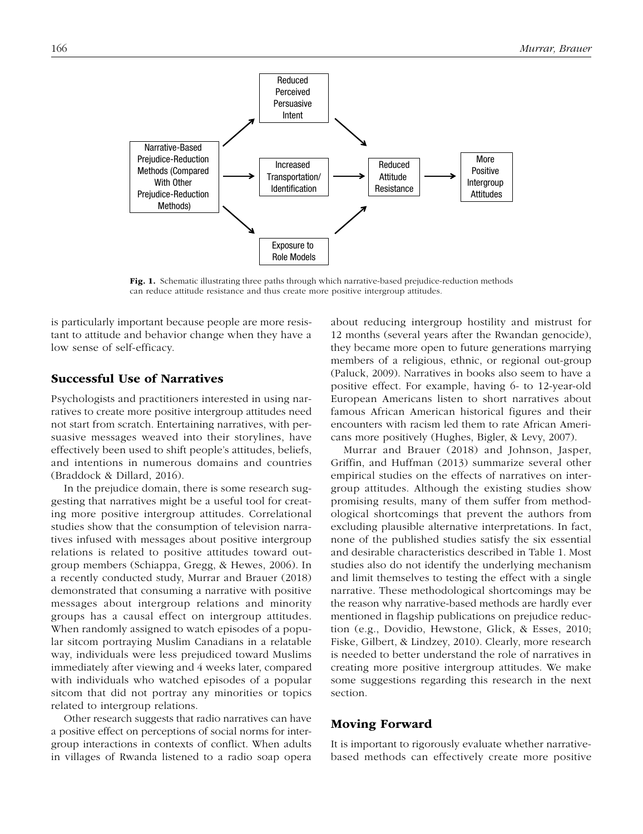

Fig. 1. Schematic illustrating three paths through which narrative-based prejudice-reduction methods can reduce attitude resistance and thus create more positive intergroup attitudes.

is particularly important because people are more resistant to attitude and behavior change when they have a low sense of self-efficacy.

# Successful Use of Narratives

Psychologists and practitioners interested in using narratives to create more positive intergroup attitudes need not start from scratch. Entertaining narratives, with persuasive messages weaved into their storylines, have effectively been used to shift people's attitudes, beliefs, and intentions in numerous domains and countries (Braddock & Dillard, 2016).

In the prejudice domain, there is some research suggesting that narratives might be a useful tool for creating more positive intergroup attitudes. Correlational studies show that the consumption of television narratives infused with messages about positive intergroup relations is related to positive attitudes toward outgroup members (Schiappa, Gregg, & Hewes, 2006). In a recently conducted study, Murrar and Brauer (2018) demonstrated that consuming a narrative with positive messages about intergroup relations and minority groups has a causal effect on intergroup attitudes. When randomly assigned to watch episodes of a popular sitcom portraying Muslim Canadians in a relatable way, individuals were less prejudiced toward Muslims immediately after viewing and 4 weeks later, compared with individuals who watched episodes of a popular sitcom that did not portray any minorities or topics related to intergroup relations.

Other research suggests that radio narratives can have a positive effect on perceptions of social norms for intergroup interactions in contexts of conflict. When adults in villages of Rwanda listened to a radio soap opera about reducing intergroup hostility and mistrust for 12 months (several years after the Rwandan genocide), they became more open to future generations marrying members of a religious, ethnic, or regional out-group (Paluck, 2009). Narratives in books also seem to have a positive effect. For example, having 6- to 12-year-old European Americans listen to short narratives about famous African American historical figures and their encounters with racism led them to rate African Americans more positively (Hughes, Bigler, & Levy, 2007).

Murrar and Brauer (2018) and Johnson, Jasper, Griffin, and Huffman (2013) summarize several other empirical studies on the effects of narratives on intergroup attitudes. Although the existing studies show promising results, many of them suffer from methodological shortcomings that prevent the authors from excluding plausible alternative interpretations. In fact, none of the published studies satisfy the six essential and desirable characteristics described in Table 1. Most studies also do not identify the underlying mechanism and limit themselves to testing the effect with a single narrative. These methodological shortcomings may be the reason why narrative-based methods are hardly ever mentioned in flagship publications on prejudice reduction (e.g., Dovidio, Hewstone, Glick, & Esses, 2010; Fiske, Gilbert, & Lindzey, 2010). Clearly, more research is needed to better understand the role of narratives in creating more positive intergroup attitudes. We make some suggestions regarding this research in the next section.

# Moving Forward

It is important to rigorously evaluate whether narrativebased methods can effectively create more positive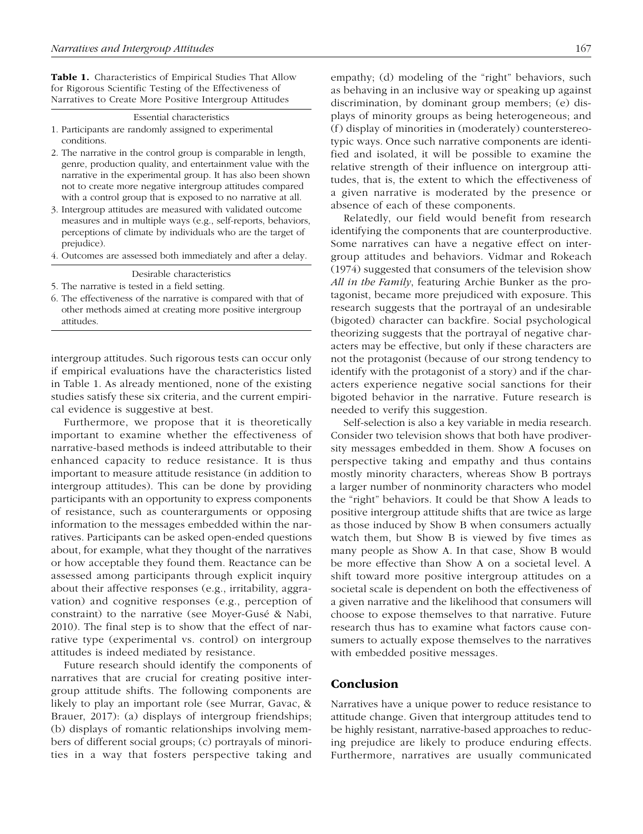Table 1. Characteristics of Empirical Studies That Allow for Rigorous Scientific Testing of the Effectiveness of Narratives to Create More Positive Intergroup Attitudes

#### Essential characteristics

- 1. Participants are randomly assigned to experimental conditions.
- 2. The narrative in the control group is comparable in length, genre, production quality, and entertainment value with the narrative in the experimental group. It has also been shown not to create more negative intergroup attitudes compared with a control group that is exposed to no narrative at all.
- 3. Intergroup attitudes are measured with validated outcome measures and in multiple ways (e.g., self-reports, behaviors, perceptions of climate by individuals who are the target of prejudice).
- 4. Outcomes are assessed both immediately and after a delay.

#### Desirable characteristics

- 5. The narrative is tested in a field setting.
- 6. The effectiveness of the narrative is compared with that of other methods aimed at creating more positive intergroup attitudes.

intergroup attitudes. Such rigorous tests can occur only if empirical evaluations have the characteristics listed in Table 1. As already mentioned, none of the existing studies satisfy these six criteria, and the current empirical evidence is suggestive at best.

Furthermore, we propose that it is theoretically important to examine whether the effectiveness of narrative-based methods is indeed attributable to their enhanced capacity to reduce resistance. It is thus important to measure attitude resistance (in addition to intergroup attitudes). This can be done by providing participants with an opportunity to express components of resistance, such as counterarguments or opposing information to the messages embedded within the narratives. Participants can be asked open-ended questions about, for example, what they thought of the narratives or how acceptable they found them. Reactance can be assessed among participants through explicit inquiry about their affective responses (e.g., irritability, aggravation) and cognitive responses (e.g., perception of constraint) to the narrative (see Moyer-Gusé & Nabi, 2010). The final step is to show that the effect of narrative type (experimental vs. control) on intergroup attitudes is indeed mediated by resistance.

Future research should identify the components of narratives that are crucial for creating positive intergroup attitude shifts. The following components are likely to play an important role (see Murrar, Gavac, & Brauer, 2017): (a) displays of intergroup friendships; (b) displays of romantic relationships involving members of different social groups; (c) portrayals of minorities in a way that fosters perspective taking and empathy; (d) modeling of the "right" behaviors, such as behaving in an inclusive way or speaking up against discrimination, by dominant group members; (e) displays of minority groups as being heterogeneous; and (f) display of minorities in (moderately) counterstereotypic ways. Once such narrative components are identified and isolated, it will be possible to examine the relative strength of their influence on intergroup attitudes, that is, the extent to which the effectiveness of

absence of each of these components. Relatedly, our field would benefit from research identifying the components that are counterproductive. Some narratives can have a negative effect on intergroup attitudes and behaviors. Vidmar and Rokeach (1974) suggested that consumers of the television show *All in the Family*, featuring Archie Bunker as the protagonist, became more prejudiced with exposure. This research suggests that the portrayal of an undesirable (bigoted) character can backfire. Social psychological theorizing suggests that the portrayal of negative characters may be effective, but only if these characters are not the protagonist (because of our strong tendency to identify with the protagonist of a story) and if the characters experience negative social sanctions for their bigoted behavior in the narrative. Future research is needed to verify this suggestion.

a given narrative is moderated by the presence or

Self-selection is also a key variable in media research. Consider two television shows that both have prodiversity messages embedded in them. Show A focuses on perspective taking and empathy and thus contains mostly minority characters, whereas Show B portrays a larger number of nonminority characters who model the "right" behaviors. It could be that Show A leads to positive intergroup attitude shifts that are twice as large as those induced by Show B when consumers actually watch them, but Show B is viewed by five times as many people as Show A. In that case, Show B would be more effective than Show A on a societal level. A shift toward more positive intergroup attitudes on a societal scale is dependent on both the effectiveness of a given narrative and the likelihood that consumers will choose to expose themselves to that narrative. Future research thus has to examine what factors cause consumers to actually expose themselves to the narratives with embedded positive messages.

# Conclusion

Narratives have a unique power to reduce resistance to attitude change. Given that intergroup attitudes tend to be highly resistant, narrative-based approaches to reducing prejudice are likely to produce enduring effects. Furthermore, narratives are usually communicated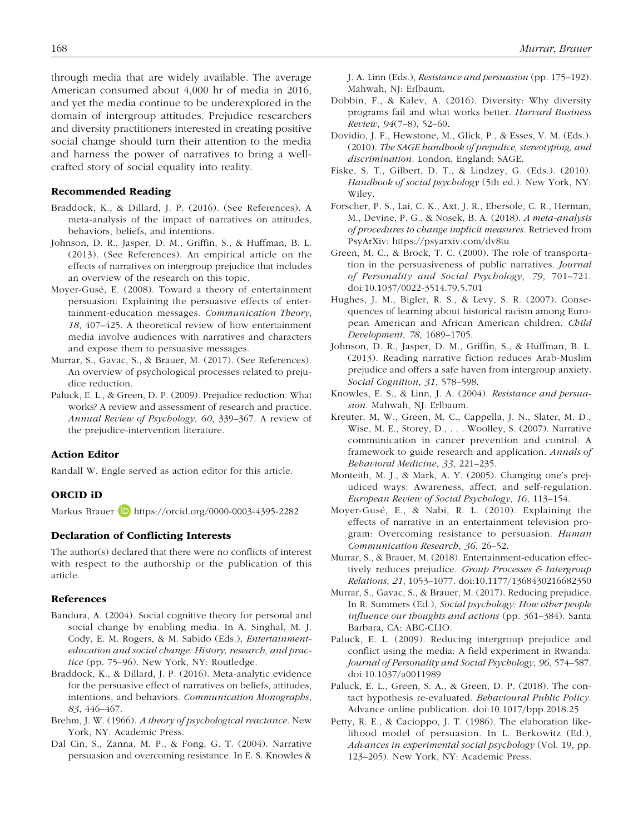through media that are widely available. The average American consumed about 4,000 hr of media in 2016, and yet the media continue to be underexplored in the domain of intergroup attitudes. Prejudice researchers and diversity practitioners interested in creating positive social change should turn their attention to the media and harness the power of narratives to bring a wellcrafted story of social equality into reality.

# Recommended Reading

- Braddock, K., & Dillard, J. P. (2016). (See References). A meta-analysis of the impact of narratives on attitudes, behaviors, beliefs, and intentions.
- Johnson, D. R., Jasper, D. M., Griffin, S., & Huffman, B. L. (2013). (See References). An empirical article on the effects of narratives on intergroup prejudice that includes an overview of the research on this topic.
- Moyer-Gusé, E. (2008). Toward a theory of entertainment persuasion: Explaining the persuasive effects of entertainment-education messages. *Communication Theory*, *18*, 407–425. A theoretical review of how entertainment media involve audiences with narratives and characters and expose them to persuasive messages.
- Murrar, S., Gavac, S., & Brauer, M. (2017). (See References). An overview of psychological processes related to prejudice reduction.
- Paluck, E. L., & Green, D. P. (2009). Prejudice reduction: What works? A review and assessment of research and practice. *Annual Review of Psychology*, *60*, 339–367. A review of the prejudice-intervention literature.

# Action Editor

Randall W. Engle served as action editor for this article.

# ORCID iD

Markus Brauer **b** https://orcid.org/0000-0003-4395-2282

## Declaration of Conflicting Interests

The author(s) declared that there were no conflicts of interest with respect to the authorship or the publication of this article.

## References

- Bandura, A. (2004). Social cognitive theory for personal and social change by enabling media. In A. Singhal, M. J. Cody, E. M. Rogers, & M. Sabido (Eds.), *Entertainmenteducation and social change: History, research, and practice* (pp. 75–96). New York, NY: Routledge.
- Braddock, K., & Dillard, J. P. (2016). Meta-analytic evidence for the persuasive effect of narratives on beliefs, attitudes, intentions, and behaviors. *Communication Monographs*, *83*, 446–467.
- Brehm, J. W. (1966). *A theory of psychological reactance*. New York, NY: Academic Press.
- Dal Cin, S., Zanna, M. P., & Fong, G. T. (2004). Narrative persuasion and overcoming resistance. In E. S. Knowles &

J. A. Linn (Eds.), *Resistance and persuasion* (pp. 175–192). Mahwah, NJ: Erlbaum.

- Dobbin, F., & Kalev, A. (2016). Diversity: Why diversity programs fail and what works better. *Harvard Business Review*, *94*(7–8), 52–60.
- Dovidio, J. F., Hewstone, M., Glick, P., & Esses, V. M. (Eds.). (2010). *The SAGE handbook of prejudice, stereotyping, and discrimination*. London, England: SAGE.
- Fiske, S. T., Gilbert, D. T., & Lindzey, G. (Eds.). (2010). *Handbook of social psychology* (5th ed.). New York, NY: Wiley.
- Forscher, P. S., Lai, C. K., Axt, J. R., Ebersole, C. R., Herman, M., Devine, P. G., & Nosek, B. A. (2018). *A meta-analysis of procedures to change implicit measures*. Retrieved from PsyArXiv: https://psyarxiv.com/dv8tu
- Green, M. C., & Brock, T. C. (2000). The role of transportation in the persuasiveness of public narratives. *Journal of Personality and Social Psychology*, *79*, 701–721. doi:10.1037/0022-3514.79.5.701
- Hughes, J. M., Bigler, R. S., & Levy, S. R. (2007). Consequences of learning about historical racism among European American and African American children. *Child Development*, *78*, 1689–1705.
- Johnson, D. R., Jasper, D. M., Griffin, S., & Huffman, B. L. (2013). Reading narrative fiction reduces Arab-Muslim prejudice and offers a safe haven from intergroup anxiety. *Social Cognition*, *31*, 578–598.
- Knowles, E. S., & Linn, J. A. (2004). *Resistance and persuasion*. Mahwah, NJ: Erlbaum.
- Kreuter, M. W., Green, M. C., Cappella, J. N., Slater, M. D., Wise, M. E., Storey, D., . . . Woolley, S. (2007). Narrative communication in cancer prevention and control: A framework to guide research and application. *Annals of Behavioral Medicine*, *33*, 221–235.
- Monteith, M. J., & Mark, A. Y. (2005). Changing one's prejudiced ways: Awareness, affect, and self-regulation. *European Review of Social Psychology*, *16*, 113–154.
- Moyer-Gusé, E., & Nabi, R. L. (2010). Explaining the effects of narrative in an entertainment television program: Overcoming resistance to persuasion. *Human Communication Research*, *36*, 26–52.
- Murrar, S., & Brauer, M. (2018). Entertainment-education effectively reduces prejudice. *Group Processes & Intergroup Relations*, *21*, 1053–1077. doi:10.1177/1368430216682350
- Murrar, S., Gavac, S., & Brauer, M. (2017). Reducing prejudice. In R. Summers (Ed.), *Social psychology: How other people influence our thoughts and actions* (pp. 361–384). Santa Barbara, CA: ABC-CLIO.
- Paluck, E. L. (2009). Reducing intergroup prejudice and conflict using the media: A field experiment in Rwanda. *Journal of Personality and Social Psychology*, *96*, 574–587. doi:10.1037/a0011989
- Paluck, E. L., Green, S. A., & Green, D. P. (2018). The contact hypothesis re-evaluated. *Behavioural Public Policy*. Advance online publication. doi:10.1017/bpp.2018.25
- Petty, R. E., & Cacioppo, J. T. (1986). The elaboration likelihood model of persuasion. In L. Berkowitz (Ed.), *Advances in experimental social psychology* (Vol. 19, pp. 123–205). New York, NY: Academic Press.